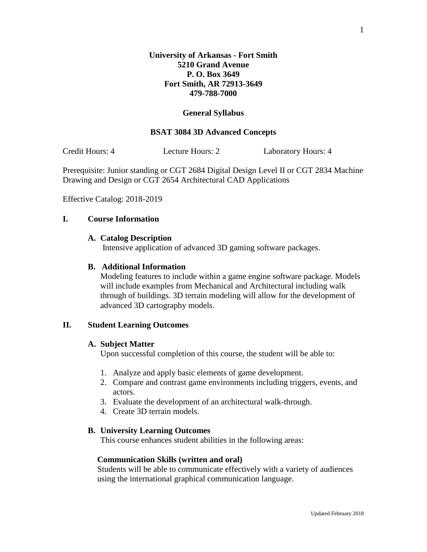#### **General Syllabus**

## **BSAT 3084 3D Advanced Concepts**

Credit Hours: 4 Lecture Hours: 2 Laboratory Hours: 4

Prerequisite: Junior standing or CGT 2684 Digital Design Level II or CGT 2834 Machine Drawing and Design or CGT 2654 Architectural CAD Applications

Effective Catalog: 2018-2019

### **I. Course Information**

#### **A. Catalog Description**

Intensive application of advanced 3D gaming software packages.

#### **B. Additional Information**

Modeling features to include within a game engine software package. Models will include examples from Mechanical and Architectural including walk through of buildings. 3D terrain modeling will allow for the development of advanced 3D cartography models.

#### **II. Student Learning Outcomes**

#### **A. Subject Matter**

Upon successful completion of this course, the student will be able to:

- 1. Analyze and apply basic elements of game development.
- 2. Compare and contrast game environments including triggers, events, and actors.
- 3. Evaluate the development of an architectural walk-through.
- 4. Create 3D terrain models.

#### **B. University Learning Outcomes**

This course enhances student abilities in the following areas:

#### **Communication Skills (written and oral)**

Students will be able to communicate effectively with a variety of audiences using the international graphical communication language.